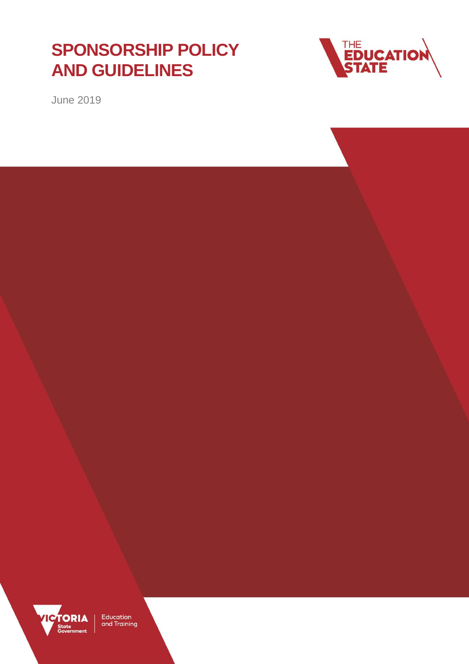## **SPONSORSHIP POLICY AND GUIDELINES**



June 2019



Education<br>and Training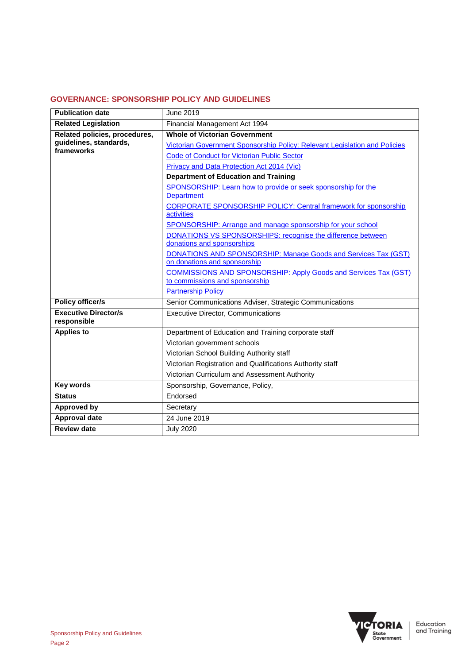#### **GOVERNANCE: SPONSORSHIP POLICY AND GUIDELINES**

| <b>Publication date</b>       | June 2019                                                                                 |
|-------------------------------|-------------------------------------------------------------------------------------------|
| <b>Related Legislation</b>    | Financial Management Act 1994                                                             |
| Related policies, procedures, | <b>Whole of Victorian Government</b>                                                      |
| guidelines, standards,        | Victorian Government Sponsorship Policy: Relevant Legislation and Policies                |
| frameworks                    | <b>Code of Conduct for Victorian Public Sector</b>                                        |
|                               | Privacy and Data Protection Act 2014 (Vic)                                                |
|                               | <b>Department of Education and Training</b>                                               |
|                               | SPONSORSHIP: Learn how to provide or seek sponsorship for the                             |
|                               | <b>Department</b>                                                                         |
|                               | <b>CORPORATE SPONSORSHIP POLICY: Central framework for sponsorship</b>                    |
|                               | activities                                                                                |
|                               | SPONSORSHIP: Arrange and manage sponsorship for your school                               |
|                               | DONATIONS VS SPONSORSHIPS: recognise the difference between<br>donations and sponsorships |
|                               | DONATIONS AND SPONSORSHIP: Manage Goods and Services Tax (GST)                            |
|                               | on donations and sponsorship                                                              |
|                               | <b>COMMISSIONS AND SPONSORSHIP: Apply Goods and Services Tax (GST)</b>                    |
|                               | to commissions and sponsorship                                                            |
|                               | <b>Partnership Policy</b>                                                                 |
| <b>Policy officer/s</b>       | Senior Communications Adviser, Strategic Communications                                   |
| <b>Executive Director/s</b>   | <b>Executive Director, Communications</b>                                                 |
| responsible                   |                                                                                           |
| <b>Applies to</b>             | Department of Education and Training corporate staff                                      |
|                               | Victorian government schools                                                              |
|                               | Victorian School Building Authority staff                                                 |
|                               | Victorian Registration and Qualifications Authority staff                                 |
|                               | Victorian Curriculum and Assessment Authority                                             |
| <b>Key words</b>              | Sponsorship, Governance, Policy,                                                          |
| <b>Status</b>                 | Endorsed                                                                                  |
| <b>Approved by</b>            | Secretary                                                                                 |
| Approval date                 | 24 June 2019                                                                              |
| <b>Review date</b>            | <b>July 2020</b>                                                                          |

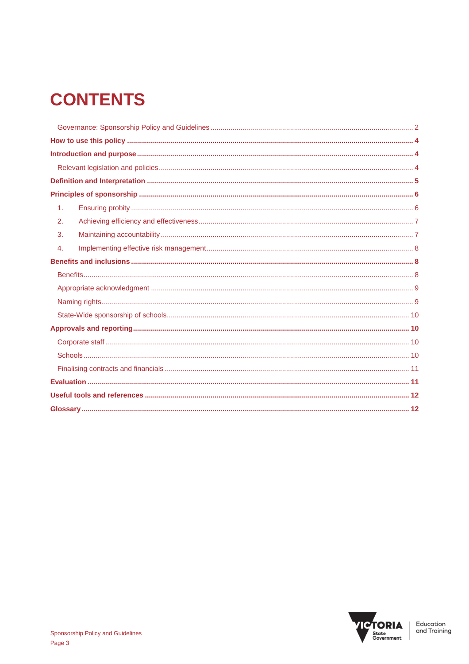# **CONTENTS**

| 1 <sub>1</sub> |  |
|----------------|--|
| 2.             |  |
| 3.             |  |
| 4.             |  |
|                |  |
|                |  |
|                |  |
|                |  |
|                |  |
|                |  |
|                |  |
|                |  |
|                |  |
|                |  |
|                |  |
|                |  |

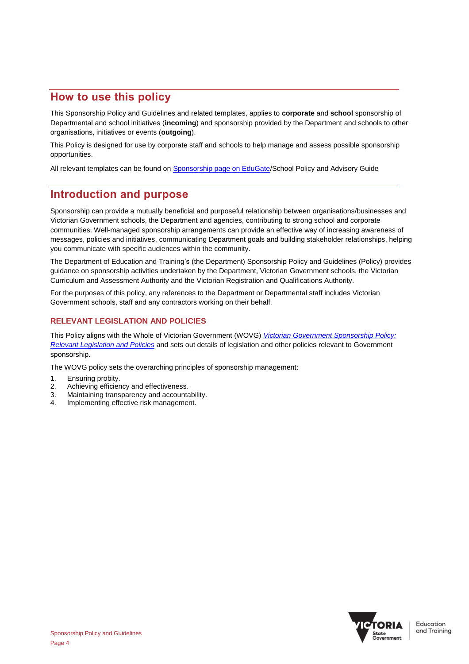## **How to use this policy**

This Sponsorship Policy and Guidelines and related templates, applies to **corporate** and **school** sponsorship of Departmental and school initiatives (**incoming**) and sponsorship provided by the Department and schools to other organisations, initiatives or events (**outgoing**).

This Policy is designed for use by corporate staff and schools to help manage and assess possible sponsorship opportunities.

All relevant templates can be found on [Sponsorship page on EduGate/](https://edugate.eduweb.vic.gov.au/sites/i/Pages/production.aspx#/app/content/2725/support_and_service_(corp)%252Fcommunications%252Fadvice_and_guidelines%252Fsponsorship)School Policy and Advisory Guide

## **Introduction and purpose**

Sponsorship can provide a mutually beneficial and purposeful relationship between organisations/businesses and Victorian Government schools, the Department and agencies, contributing to strong school and corporate communities. Well-managed sponsorship arrangements can provide an effective way of increasing awareness of messages, policies and initiatives, communicating Department goals and building stakeholder relationships, helping you communicate with specific audiences within the community.

The Department of Education and Training's (the Department) Sponsorship Policy and Guidelines (Policy) provides guidance on sponsorship activities undertaken by the Department, Victorian Government schools, the Victorian Curriculum and Assessment Authority and the Victorian Registration and Qualifications Authority.

For the purposes of this policy, any references to the Department or Departmental staff includes Victorian Government schools, staff and any contractors working on their behalf.

#### **RELEVANT LEGISLATION AND POLICIES**

This Policy aligns with the Whole of Victorian Government (WOVG) *[Victorian Government Sponsorship Policy:](https://www.dpc.vic.gov.au/index.php/communication/policies-and-guidelines/sponsorship-policy-relevant-legislation-and-policies)  [Relevant Legislation and Policies](https://www.dpc.vic.gov.au/index.php/communication/policies-and-guidelines/sponsorship-policy-relevant-legislation-and-policies)* and sets out details of legislation and other policies relevant to Government sponsorship.

The WOVG policy sets the overarching principles of sponsorship management:

- 1. Ensuring probity.
- 2. Achieving efficiency and effectiveness.
- 3. Maintaining transparency and accountability.
- 4. Implementing effective risk management.

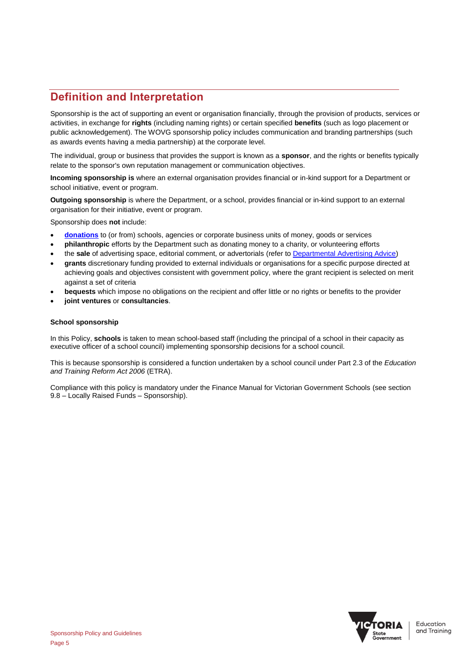## **Definition and Interpretation**

Sponsorship is the act of supporting an event or organisation financially, through the provision of products, services or activities, in exchange for **rights** (including naming rights) or certain specified **benefits** (such as logo placement or public acknowledgement). The WOVG sponsorship policy includes communication and branding partnerships (such as awards events having a media partnership) at the corporate level.

The individual, group or business that provides the support is known as a **sponsor**, and the rights or benefits typically relate to the sponsor's own reputation management or communication objectives.

**Incoming sponsorship is** where an external organisation provides financial or in-kind support for a Department or school initiative, event or program.

**Outgoing sponsorship** is where the Department, or a school, provides financial or in-kind support to an external organisation for their initiative, event or program.

Sponsorship does **not** include:

- **[donations](https://www.education.vic.gov.au/school/principals/spag/finance/Pages/generatedfunding.aspx)** to (or from) schools, agencies or corporate business units of money, goods or services
- **philanthropic** efforts by the Department such as donating money to a charity, or volunteering efforts
- the **sale** of advertising space, editorial comment, or advertorials (refer t[o Departmental Advertising Advice\)](https://edugate.eduweb.vic.gov.au/sites/i/Pages/production.aspx#/app/content/2753/support_and_service_(corp)%252Fcommunications%252Fadvice_and_guidelines%252Fadvertising)
- **grants** discretionary funding provided to external individuals or organisations for a specific purpose directed at achieving goals and objectives consistent with government policy, where the grant recipient is selected on merit against a set of criteria
- **bequests** which impose no obligations on the recipient and offer little or no rights or benefits to the provider
- **joint ventures** or **consultancies**.

#### **School sponsorship**

In this Policy, **schools** is taken to mean school-based staff (including the principal of a school in their capacity as executive officer of a school council) implementing sponsorship decisions for a school council.

This is because sponsorship is considered a function undertaken by a school council under Part 2.3 of the *Education and Training Reform Act 2006* (ETRA).

Compliance with this policy is mandatory under the Finance Manual for Victorian Government Schools (see section 9.8 – Locally Raised Funds – Sponsorship).

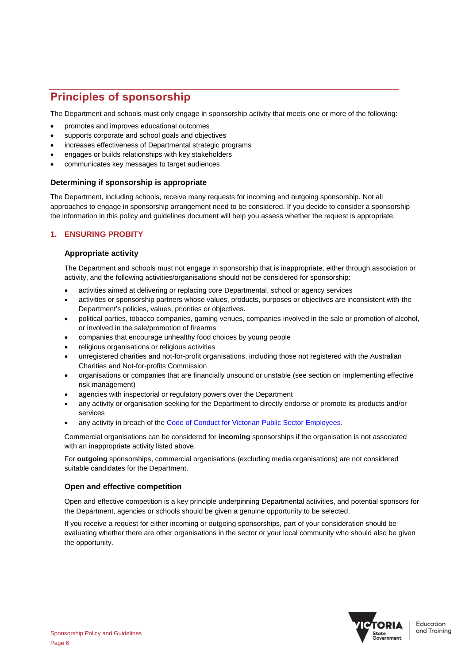## **Principles of sponsorship**

The Department and schools must only engage in sponsorship activity that meets one or more of the following:

- promotes and improves educational outcomes
- supports corporate and school goals and objectives
- increases effectiveness of Departmental strategic programs
- engages or builds relationships with key stakeholders
- communicates key messages to target audiences.

#### **Determining if sponsorship is appropriate**

The Department, including schools, receive many requests for incoming and outgoing sponsorship. Not all approaches to engage in sponsorship arrangement need to be considered. If you decide to consider a sponsorship the information in this policy and guidelines document will help you assess whether the request is appropriate.

#### **1. ENSURING PROBITY**

#### **Appropriate activity**

The Department and schools must not engage in sponsorship that is inappropriate, either through association or activity, and the following activities/organisations should not be considered for sponsorship:

- activities aimed at delivering or replacing core Departmental, school or agency services
- activities or sponsorship partners whose values, products, purposes or objectives are inconsistent with the Department's policies, values, priorities or objectives.
- political parties, tobacco companies, gaming venues, companies involved in the sale or promotion of alcohol, or involved in the sale/promotion of firearms
- companies that encourage unhealthy food choices by young people
- religious organisations or religious activities
- unregistered charities and not-for-profit organisations, including those not registered with the Australian Charities and Not-for-profits Commission
- organisations or companies that are financially unsound or unstable (see section on implementing effective risk management)
- agencies with inspectorial or regulatory powers over the Department
- any activity or organisation seeking for the Department to directly endorse or promote its products and/or services
- any activity in breach of the [Code of Conduct for Victorian Public Sector Employees.](http://vpsc.vic.gov.au/resources/code-of-conduct-for-employees/)

Commercial organisations can be considered for **incoming** sponsorships if the organisation is not associated with an inappropriate activity listed above.

For **outgoing** sponsorships, commercial organisations (excluding media organisations) are not considered suitable candidates for the Department.

#### **Open and effective competition**

Open and effective competition is a key principle underpinning Departmental activities, and potential sponsors for the Department, agencies or schools should be given a genuine opportunity to be selected.

If you receive a request for either incoming or outgoing sponsorships, part of your consideration should be evaluating whether there are other organisations in the sector or your local community who should also be given the opportunity.

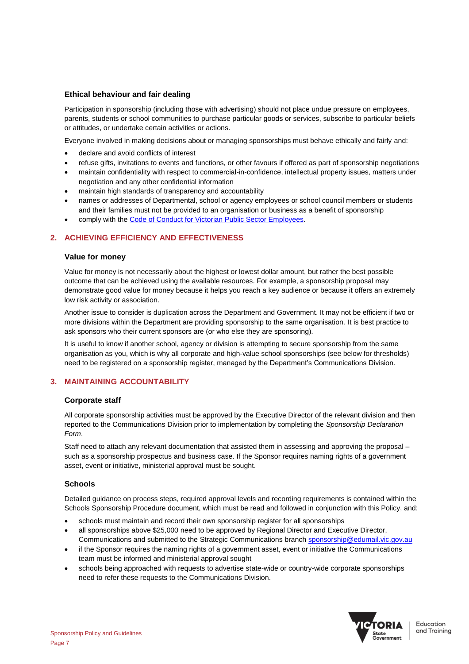#### **Ethical behaviour and fair dealing**

Participation in sponsorship (including those with advertising) should not place undue pressure on employees, parents, students or school communities to purchase particular goods or services, subscribe to particular beliefs or attitudes, or undertake certain activities or actions.

Everyone involved in making decisions about or managing sponsorships must behave ethically and fairly and:

- declare and avoid conflicts of interest
- refuse gifts, invitations to events and functions, or other favours if offered as part of sponsorship negotiations
- maintain confidentiality with respect to commercial-in-confidence, intellectual property issues, matters under negotiation and any other confidential information
- maintain high standards of transparency and accountability
- names or addresses of Departmental, school or agency employees or school council members or students and their families must not be provided to an organisation or business as a benefit of sponsorship
- comply with the [Code of Conduct for Victorian Public Sector Employees.](http://vpsc.vic.gov.au/resources/code-of-conduct-for-employees/)

#### **2. ACHIEVING EFFICIENCY AND EFFECTIVENESS**

#### **Value for money**

Value for money is not necessarily about the highest or lowest dollar amount, but rather the best possible outcome that can be achieved using the available resources. For example, a sponsorship proposal may demonstrate good value for money because it helps you reach a key audience or because it offers an extremely low risk activity or association.

Another issue to consider is duplication across the Department and Government. It may not be efficient if two or more divisions within the Department are providing sponsorship to the same organisation. It is best practice to ask sponsors who their current sponsors are (or who else they are sponsoring).

It is useful to know if another school, agency or division is attempting to secure sponsorship from the same organisation as you, which is why all corporate and high-value school sponsorships (see below for thresholds) need to be registered on a sponsorship register, managed by the Department's Communications Division.

#### **3. MAINTAINING ACCOUNTABILITY**

#### **Corporate staff**

All corporate sponsorship activities must be approved by the Executive Director of the relevant division and then reported to the Communications Division prior to implementation by completing the *Sponsorship Declaration Form*.

Staff need to attach any relevant documentation that assisted them in assessing and approving the proposal – such as a sponsorship prospectus and business case. If the Sponsor requires naming rights of a government asset, event or initiative, ministerial approval must be sought.

#### **Schools**

Detailed guidance on process steps, required approval levels and recording requirements is contained within the Schools Sponsorship Procedure document, which must be read and followed in conjunction with this Policy, and:

- schools must maintain and record their own sponsorship register for all sponsorships
- all sponsorships above \$25,000 need to be approved by Regional Director and Executive Director, Communications and submitted to the Strategic Communications branch [sponsorship@edumail.vic.gov.au](mailto:Sponsorship@edumail.vic.gov.au)
- if the Sponsor requires the naming rights of a government asset, event or initiative the Communications team must be informed and ministerial approval sought
- schools being approached with requests to advertise state-wide or country-wide corporate sponsorships need to refer these requests to the Communications Division.

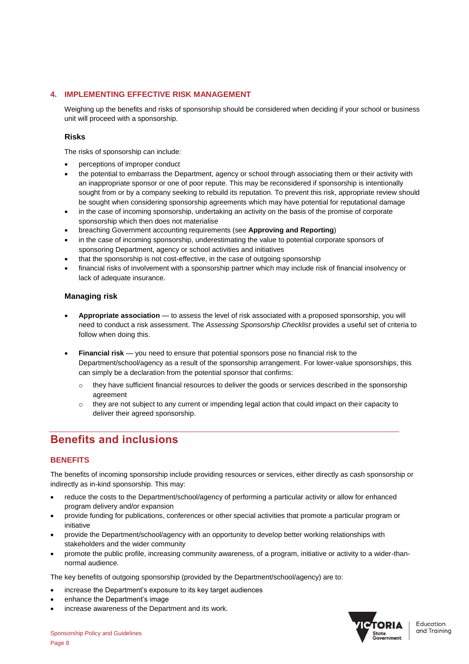#### **4. IMPLEMENTING EFFECTIVE RISK MANAGEMENT**

Weighing up the benefits and risks of sponsorship should be considered when deciding if your school or business unit will proceed with a sponsorship.

#### **Risks**

The risks of sponsorship can include:

- perceptions of improper conduct
- the potential to embarrass the Department, agency or school through associating them or their activity with an inappropriate sponsor or one of poor repute. This may be reconsidered if sponsorship is intentionally sought from or by a company seeking to rebuild its reputation. To prevent this risk, appropriate review should be sought when considering sponsorship agreements which may have potential for reputational damage
- in the case of incoming sponsorship, undertaking an activity on the basis of the promise of corporate sponsorship which then does not materialise
- breaching Government accounting requirements (see **Approving and Reporting**)
- in the case of incoming sponsorship, underestimating the value to potential corporate sponsors of sponsoring Department, agency or school activities and initiatives
- that the sponsorship is not cost-effective, in the case of outgoing sponsorship
- financial risks of involvement with a sponsorship partner which may include risk of financial insolvency or lack of adequate insurance.

#### **Managing risk**

- **Appropriate association**  to assess the level of risk associated with a proposed sponsorship, you will need to conduct a risk assessment. The *Assessing Sponsorship Checklist* provides a useful set of criteria to follow when doing this.
- **Financial risk**  you need to ensure that potential sponsors pose no financial risk to the Department/school/agency as a result of the sponsorship arrangement. For lower-value sponsorships, this can simply be a declaration from the potential sponsor that confirms:
	- o they have sufficient financial resources to deliver the goods or services described in the sponsorship agreement
	- they are not subject to any current or impending legal action that could impact on their capacity to deliver their agreed sponsorship.

## **Benefits and inclusions**

#### **BENEFITS**

The benefits of incoming sponsorship include providing resources or services, either directly as cash sponsorship or indirectly as in-kind sponsorship. This may:

- reduce the costs to the Department/school/agency of performing a particular activity or allow for enhanced program delivery and/or expansion
- provide funding for publications, conferences or other special activities that promote a particular program or initiative
- provide the Department/school/agency with an opportunity to develop better working relationships with stakeholders and the wider community
- promote the public profile, increasing community awareness, of a program, initiative or activity to a wider-thannormal audience.

The key benefits of outgoing sponsorship (provided by the Department/school/agency) are to:

- increase the Department's exposure to its key target audiences
- enhance the Department's image
- increase awareness of the Department and its work.

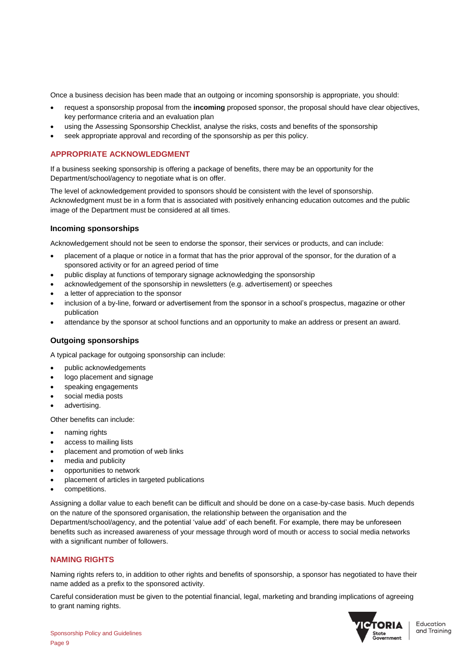Once a business decision has been made that an outgoing or incoming sponsorship is appropriate, you should:

- request a sponsorship proposal from the **incoming** proposed sponsor, the proposal should have clear objectives, key performance criteria and an evaluation plan
- using the Assessing Sponsorship Checklist, analyse the risks, costs and benefits of the sponsorship
- seek appropriate approval and recording of the sponsorship as per this policy.

#### **APPROPRIATE ACKNOWLEDGMENT**

If a business seeking sponsorship is offering a package of benefits, there may be an opportunity for the Department/school/agency to negotiate what is on offer.

The level of acknowledgement provided to sponsors should be consistent with the level of sponsorship. Acknowledgment must be in a form that is associated with positively enhancing education outcomes and the public image of the Department must be considered at all times.

#### **Incoming sponsorships**

Acknowledgement should not be seen to endorse the sponsor, their services or products, and can include:

- placement of a plaque or notice in a format that has the prior approval of the sponsor, for the duration of a sponsored activity or for an agreed period of time
- public display at functions of temporary signage acknowledging the sponsorship
- acknowledgement of the sponsorship in newsletters (e.g. advertisement) or speeches
- a letter of appreciation to the sponsor
- inclusion of a by-line, forward or advertisement from the sponsor in a school's prospectus, magazine or other publication
- attendance by the sponsor at school functions and an opportunity to make an address or present an award.

#### **Outgoing sponsorships**

A typical package for outgoing sponsorship can include:

- public acknowledgements
- logo placement and signage
- speaking engagements
- social media posts
- advertising.

Other benefits can include:

- naming rights
- access to mailing lists
- placement and promotion of web links
- media and publicity
- opportunities to network
- placement of articles in targeted publications
- competitions.

Assigning a dollar value to each benefit can be difficult and should be done on a case-by-case basis. Much depends on the nature of the sponsored organisation, the relationship between the organisation and the Department/school/agency, and the potential 'value add' of each benefit. For example, there may be unforeseen benefits such as increased awareness of your message through word of mouth or access to social media networks with a significant number of followers.

#### **NAMING RIGHTS**

Naming rights refers to, in addition to other rights and benefits of sponsorship, a sponsor has negotiated to have their name added as a prefix to the sponsored activity.

Careful consideration must be given to the potential financial, legal, marketing and branding implications of agreeing to grant naming rights.

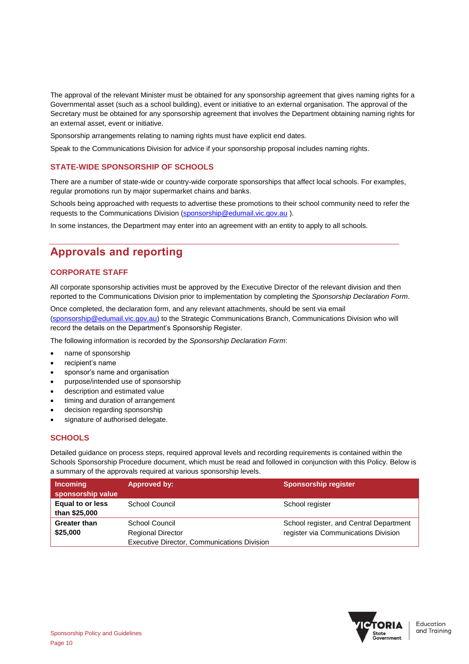The approval of the relevant Minister must be obtained for any sponsorship agreement that gives naming rights for a Governmental asset (such as a school building), event or initiative to an external organisation. The approval of the Secretary must be obtained for any sponsorship agreement that involves the Department obtaining naming rights for an external asset, event or initiative.

Sponsorship arrangements relating to naming rights must have explicit end dates.

Speak to the Communications Division for advice if your sponsorship proposal includes naming rights.

#### **STATE-WIDE SPONSORSHIP OF SCHOOLS**

There are a number of state-wide or country-wide corporate sponsorships that affect local schools. For examples, regular promotions run by major supermarket chains and banks.

Schools being approached with requests to advertise these promotions to their school community need to refer the requests to the Communications Division [\(sponsorship@edumail.vic.gov.au](mailto:sponsorship@edumail.vic.gov.au)).

In some instances, the Department may enter into an agreement with an entity to apply to all schools.

## **Approvals and reporting**

#### **CORPORATE STAFF**

All corporate sponsorship activities must be approved by the Executive Director of the relevant division and then reported to the Communications Division prior to implementation by completing the *Sponsorship Declaration Form*.

Once completed, the declaration form, and any relevant attachments, should be sent via email [\(sponsorship@edumail.vic.gov.au\)](mailto:sponsorship@edumail.vic.gov.au) to the Strategic Communications Branch, Communications Division who will record the details on the Department's Sponsorship Register.

The following information is recorded by the *Sponsorship Declaration Form*:

- name of sponsorship
- recipient's name
- sponsor's name and organisation
- purpose/intended use of sponsorship
- description and estimated value
- timing and duration of arrangement
- decision regarding sponsorship
- signature of authorised delegate.

#### **SCHOOLS**

Detailed guidance on process steps, required approval levels and recording requirements is contained within the Schools Sponsorship Procedure document, which must be read and followed in conjunction with this Policy. Below is a summary of the approvals required at various sponsorship levels.

| <b>Incoming</b><br>sponsorship value     | Approved by:                                                                              | <b>Sponsorship register</b>                                                     |
|------------------------------------------|-------------------------------------------------------------------------------------------|---------------------------------------------------------------------------------|
| <b>Equal to or less</b><br>than \$25,000 | School Council                                                                            | School register                                                                 |
| <b>Greater than</b><br>\$25,000          | School Council<br><b>Regional Director</b><br>Executive Director, Communications Division | School register, and Central Department<br>register via Communications Division |

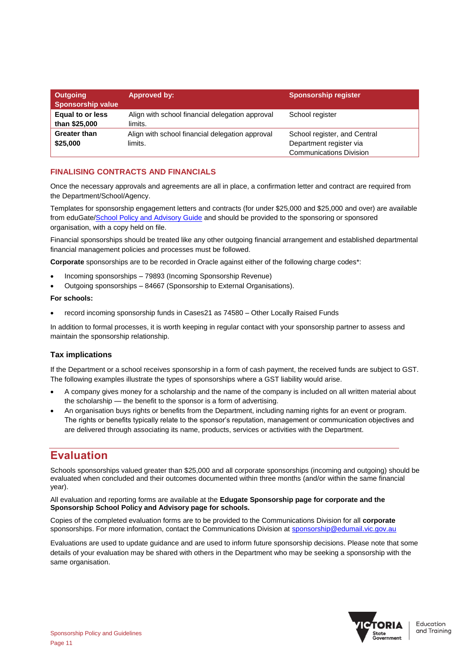| Outgoing<br><b>Sponsorship value</b> | Approved by:                                               | <b>Sponsorship register</b>                                                               |
|--------------------------------------|------------------------------------------------------------|-------------------------------------------------------------------------------------------|
| Equal to or less<br>than \$25,000    | Align with school financial delegation approval<br>limits. | School register                                                                           |
| <b>Greater than</b><br>\$25,000      | Align with school financial delegation approval<br>limits. | School register, and Central<br>Department register via<br><b>Communications Division</b> |

#### **FINALISING CONTRACTS AND FINANCIALS**

Once the necessary approvals and agreements are all in place, a confirmation letter and contract are required from the Department/School/Agency.

Templates for sponsorship engagement letters and contracts (for under \$25,000 and \$25,000 and over) are available from eduGate[/School Policy and Advisory Guide](https://www.education.vic.gov.au/school/principals/spag/community/pages/sponsorship.aspx) and should be provided to the sponsoring or sponsored organisation, with a copy held on file.

Financial sponsorships should be treated like any other outgoing financial arrangement and established departmental financial management policies and processes must be followed.

**Corporate** sponsorships are to be recorded in Oracle against either of the following charge codes\*:

- Incoming sponsorships 79893 (Incoming Sponsorship Revenue)
- Outgoing sponsorships 84667 (Sponsorship to External Organisations).

#### **For schools:**

record incoming sponsorship funds in Cases21 as 74580 – Other Locally Raised Funds

In addition to formal processes, it is worth keeping in regular contact with your sponsorship partner to assess and maintain the sponsorship relationship.

#### **Tax implications**

If the Department or a school receives sponsorship in a form of cash payment, the received funds are subject to GST. The following examples illustrate the types of sponsorships where a GST liability would arise.

- A company gives money for a scholarship and the name of the company is included on all written material about the scholarship — the benefit to the sponsor is a form of advertising.
- An organisation buys rights or benefits from the Department, including naming rights for an event or program. The rights or benefits typically relate to the sponsor's reputation, management or communication objectives and are delivered through associating its name, products, services or activities with the Department.

## **Evaluation**

Schools sponsorships valued greater than \$25,000 and all corporate sponsorships (incoming and outgoing) should be evaluated when concluded and their outcomes documented within three months (and/or within the same financial year).

#### All evaluation and reporting forms are available at the **Edugate Sponsorship page for corporate and the Sponsorship School Policy and Advisory page for schools.**

Copies of the completed evaluation forms are to be provided to the Communications Division for all **corporate**  sponsorships. For more information, contact the Communications Division at [sponsorship@edumail.vic.gov.au](mailto:sponsorship@edumail.vic.gov.au)

Evaluations are used to update guidance and are used to inform future sponsorship decisions. Please note that some details of your evaluation may be shared with others in the Department who may be seeking a sponsorship with the same organisation.

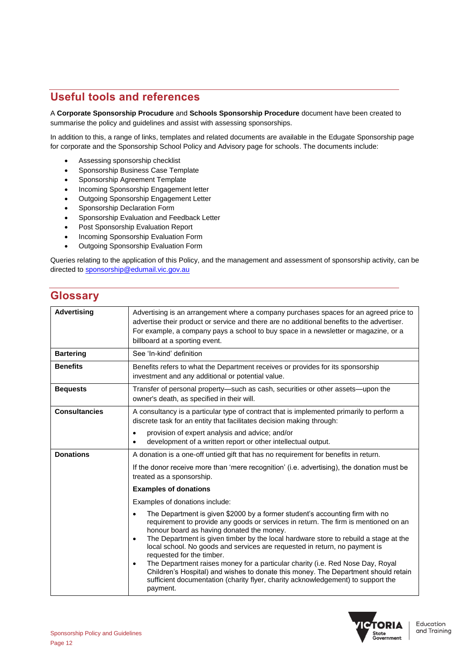## **Useful tools and references**

A **Corporate Sponsorship Procudure** and **Schools Sponsorship Procedure** document have been created to summarise the policy and guidelines and assist with assessing sponsorships.

In addition to this, a range of links, templates and related documents are available in the Edugate Sponsorship page for corporate and the Sponsorship School Policy and Advisory page for schools. The documents include:

- Assessing sponsorship checklist
- Sponsorship Business Case Template
- Sponsorship Agreement Template
- Incoming Sponsorship Engagement letter
- Outgoing Sponsorship Engagement Letter
- Sponsorship Declaration Form
- Sponsorship Evaluation and Feedback Letter
- **•** Post Sponsorship Evaluation Report
- Incoming Sponsorship Evaluation Form
- Outgoing Sponsorship Evaluation Form

Queries relating to the application of this Policy, and the management and assessment of sponsorship activity, can be directed to [sponsorship@edumail.vic.gov.au](mailto:sponsorship@edumail.vic.gov.au)

## **Glossary**

| <b>Advertising</b>   | Advertising is an arrangement where a company purchases spaces for an agreed price to<br>advertise their product or service and there are no additional benefits to the advertiser.<br>For example, a company pays a school to buy space in a newsletter or magazine, or a<br>billboard at a sporting event.                                                                                                                                                                                                                                                                                                                                                                                                          |
|----------------------|-----------------------------------------------------------------------------------------------------------------------------------------------------------------------------------------------------------------------------------------------------------------------------------------------------------------------------------------------------------------------------------------------------------------------------------------------------------------------------------------------------------------------------------------------------------------------------------------------------------------------------------------------------------------------------------------------------------------------|
| <b>Bartering</b>     | See 'In-kind' definition                                                                                                                                                                                                                                                                                                                                                                                                                                                                                                                                                                                                                                                                                              |
| <b>Benefits</b>      | Benefits refers to what the Department receives or provides for its sponsorship<br>investment and any additional or potential value.                                                                                                                                                                                                                                                                                                                                                                                                                                                                                                                                                                                  |
| <b>Bequests</b>      | Transfer of personal property—such as cash, securities or other assets—upon the<br>owner's death, as specified in their will.                                                                                                                                                                                                                                                                                                                                                                                                                                                                                                                                                                                         |
| <b>Consultancies</b> | A consultancy is a particular type of contract that is implemented primarily to perform a<br>discrete task for an entity that facilitates decision making through:                                                                                                                                                                                                                                                                                                                                                                                                                                                                                                                                                    |
|                      | provision of expert analysis and advice; and/or<br>development of a written report or other intellectual output.                                                                                                                                                                                                                                                                                                                                                                                                                                                                                                                                                                                                      |
| <b>Donations</b>     | A donation is a one-off untied gift that has no requirement for benefits in return.                                                                                                                                                                                                                                                                                                                                                                                                                                                                                                                                                                                                                                   |
|                      | If the donor receive more than 'mere recognition' (i.e. advertising), the donation must be<br>treated as a sponsorship.                                                                                                                                                                                                                                                                                                                                                                                                                                                                                                                                                                                               |
|                      | <b>Examples of donations</b>                                                                                                                                                                                                                                                                                                                                                                                                                                                                                                                                                                                                                                                                                          |
|                      | Examples of donations include:                                                                                                                                                                                                                                                                                                                                                                                                                                                                                                                                                                                                                                                                                        |
|                      | The Department is given \$2000 by a former student's accounting firm with no<br>requirement to provide any goods or services in return. The firm is mentioned on an<br>honour board as having donated the money.<br>The Department is given timber by the local hardware store to rebuild a stage at the<br>$\bullet$<br>local school. No goods and services are requested in return, no payment is<br>requested for the timber.<br>The Department raises money for a particular charity (i.e. Red Nose Day, Royal<br>$\bullet$<br>Children's Hospital) and wishes to donate this money. The Department should retain<br>sufficient documentation (charity flyer, charity acknowledgement) to support the<br>payment. |